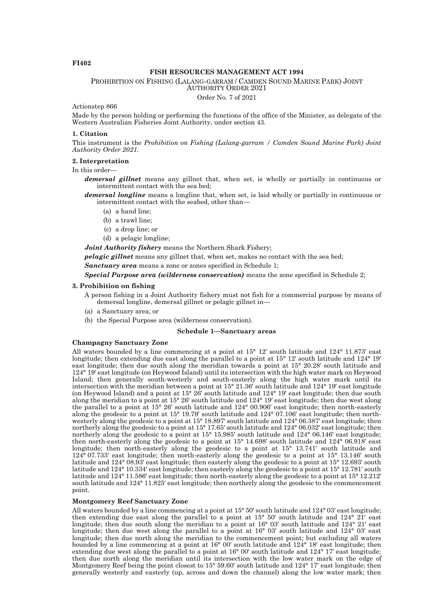# **FI402**

# **FISH RESOURCES MANAGEMENT ACT 1994**

PROHIBITION ON FISHING (LALANG-GARRAM / CAMDEN SOUND MARINE PARK) JOINT

AUTHORITY ORDER 2021

Order No. 7 of 2021

Actionstep 866

Made by the person holding or performing the functions of the office of the Minister, as delegate of the Western Australian Fisheries Joint Authority, under section 43.

## **1. Citation**

This instrument is the *Prohibition on Fishing (Lalang-garram / Camden Sound Marine Park) Joint Authority Order 2021.*

## **2. Interpretation**

In this order—

*demersal gillnet* means any gillnet that, when set, is wholly or partially in continuous or intermittent contact with the sea bed;

*demersal longline* means a longline that, when set, is laid wholly or partially in continuous or intermittent contact with the seabed, other than—

- (a) a hand line;
- (b) a trawl line;
- (c) a drop line; or
- (d) a pelagic longline;

*Joint Authority fishery* means the Northern Shark Fishery;

*pelagic gillnet* means any gillnet that, when set, makes no contact with the sea bed;

*Sanctuary area* means a zone or zones specified in Schedule 1;

*Special Purpose area (wilderness conservation)* means the zone specified in Schedule 2;

## **3. Prohibition on fishing**

A person fishing in a Joint Authority fishery must not fish for a commercial purpose by means of demersal longline, demersal gillnet or pelagic gillnet in—

- (a) a Sanctuary area; or
- (b) the Special Purpose area (wilderness conservation).

# **Schedule 1—Sanctuary areas**

# **Champagny Sanctuary Zone**

All waters bounded by a line commencing at a point at 15° 12′ south latitude and 124° 11.873′ east longitude; then extending due east along the parallel to a point at 15° 12′ south latitude and 124° 19′ east longitude; then due south along the meridian towards a point at 15° 20.28′ south latitude and 124° 19′ east longitude (on Heywood Island) until its intersection with the high water mark on Heywood Island; then generally south-westerly and south-easterly along the high water mark until its intersection with the meridian between a point at 15° 21.36′ south latitude and 124° 19′ east longitude (on Heywood Island) and a point at 15° 26′ south latitude and 124° 19′ east longitude; then due south along the meridian to a point at 15° 26′ south latitude and 124° 19′ east longitude; then due west along the parallel to a point at 15° 26′ south latitude and 124° 00.906′ east longitude; then north-easterly along the geodesic to a point at 15° 19.79′ south latitude and 124° 07.106′ east longitude; then northwesterly along the geodesic to a point at 15° 18.897′ south latitude and 124° 06.387′ east longitude; then northerly along the geodesic to a point at 15° 17.65′ south latitude and 124° 06.032′ east longitude; then northerly along the geodesic to a point at 15° 15.985′ south latitude and 124° 06.146′ east longitude; then north-easterly along the geodesic to a point at 15° 14.698′ south latitude and 124° 06.918′ east longitude; then north-easterly along the geodesic to a point at 15° 13.741′ south latitude and 124° 07.733′ east longitude; then north-easterly along the geodesic to a point at 15° 13.146′ south latitude and 124° 08.93′ east longitude; then easterly along the geodesic to a point at 15° 12.693′ south latitude and 124° 10.334′ east longitude; then easterly along the geodesic to a point at 15° 12.781′ south latitude and 124° 11.586′ east longitude; then north-easterly along the geodesic to a point at 15° 12.212′ south latitude and 124° 11.825′ east longitude; then northerly along the geodesic to the commencement point.

## **Montgomery Reef Sanctuary Zone**

All waters bounded by a line commencing at a point at 15° 50′ south latitude and 124° 03′ east longitude; then extending due east along the parallel to a point at 15° 50′ south latitude and 124° 21′ east longitude; then due south along the meridian to a point at 16° 03' south latitude and 124° 21' east longitude; then due west along the parallel to a point at 16° 03′ south latitude and 124° 03′ east longitude; then due north along the meridian to the commencement point; but excluding all waters bounded by a line commencing at a point at 16° 00′ south latitude and 124° 18′ east longitude; then extending due west along the parallel to a point at 16° 00′ south latitude and 124° 17′ east longitude; then due north along the meridian until its intersection with the low water mark on the edge of Montgomery Reef being the point closest to 15° 59.60′ south latitude and 124° 17′ east longitude; then generally westerly and easterly (up, across and down the channel) along the low water mark; then